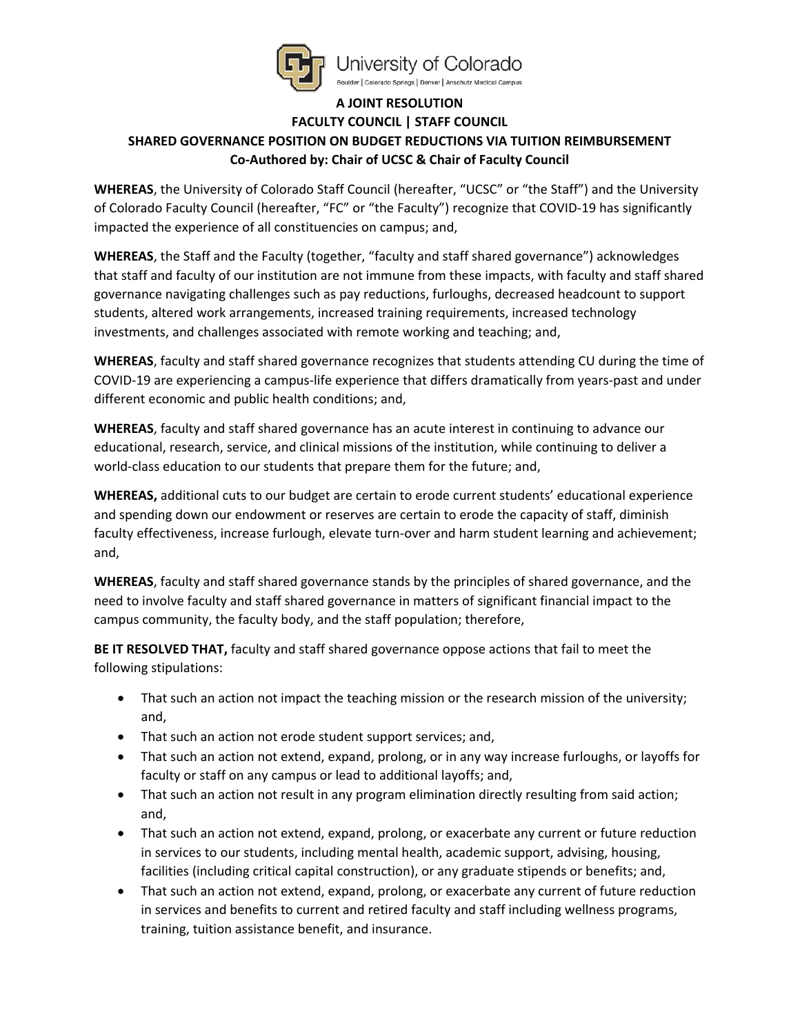

Jniversity of Colorado Boulder | Colorado Springs | Denver | Anschutz Medical Campus

## **A JOINT RESOLUTION**

## **FACULTY COUNCIL | STAFF COUNCIL SHARED GOVERNANCE POSITION ON BUDGET REDUCTIONS VIA TUITION REIMBURSEMENT Co-Authored by: Chair of UCSC & Chair of Faculty Council**

**WHEREAS**, the University of Colorado Staff Council (hereafter, "UCSC" or "the Staff") and the University of Colorado Faculty Council (hereafter, "FC" or "the Faculty") recognize that COVID-19 has significantly impacted the experience of all constituencies on campus; and,

**WHEREAS**, the Staff and the Faculty (together, "faculty and staff shared governance") acknowledges that staff and faculty of our institution are not immune from these impacts, with faculty and staff shared governance navigating challenges such as pay reductions, furloughs, decreased headcount to support students, altered work arrangements, increased training requirements, increased technology investments, and challenges associated with remote working and teaching; and,

**WHEREAS**, faculty and staff shared governance recognizes that students attending CU during the time of COVID-19 are experiencing a campus-life experience that differs dramatically from years-past and under different economic and public health conditions; and,

**WHEREAS**, faculty and staff shared governance has an acute interest in continuing to advance our educational, research, service, and clinical missions of the institution, while continuing to deliver a world-class education to our students that prepare them for the future; and,

**WHEREAS,** additional cuts to our budget are certain to erode current students' educational experience and spending down our endowment or reserves are certain to erode the capacity of staff, diminish faculty effectiveness, increase furlough, elevate turn-over and harm student learning and achievement; and,

**WHEREAS**, faculty and staff shared governance stands by the principles of shared governance, and the need to involve faculty and staff shared governance in matters of significant financial impact to the campus community, the faculty body, and the staff population; therefore,

**BE IT RESOLVED THAT,** faculty and staff shared governance oppose actions that fail to meet the following stipulations:

- That such an action not impact the teaching mission or the research mission of the university; and,
- That such an action not erode student support services; and,
- That such an action not extend, expand, prolong, or in any way increase furloughs, or layoffs for faculty or staff on any campus or lead to additional layoffs; and,
- That such an action not result in any program elimination directly resulting from said action; and,
- That such an action not extend, expand, prolong, or exacerbate any current or future reduction in services to our students, including mental health, academic support, advising, housing, facilities (including critical capital construction), or any graduate stipends or benefits; and,
- That such an action not extend, expand, prolong, or exacerbate any current of future reduction in services and benefits to current and retired faculty and staff including wellness programs, training, tuition assistance benefit, and insurance.